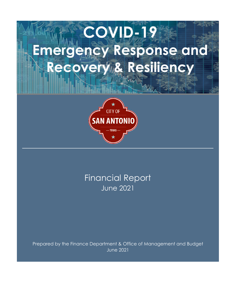# **COVID-19 Emergency Response and Recovery & Resiliency**



June 2021 Financial Report

Prepared by the Finance Department & Office of Management and Budget June 2021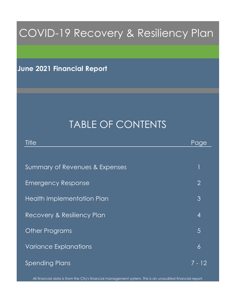## COVID-19 Recovery & Resiliency Plan

**June 2021 Financial Report**

## TABLE OF CONTENTS

| Title                          | Page           |
|--------------------------------|----------------|
|                                |                |
| Summary of Revenues & Expenses | $\mathfrak 1$  |
| <b>Emergency Response</b>      | $\overline{2}$ |
| Health Implementation Plan     | 3              |
| Recovery & Resiliency Plan     | $\overline{4}$ |
| <b>Other Programs</b>          | 5              |
| <b>Variance Explanations</b>   | 6              |
| <b>Spending Plans</b>          | 7 - 12         |

All financial data is from the City's financial management system. This is an unaudited financial report.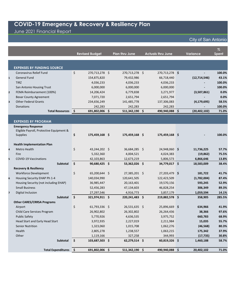June 2021 Financial Report

|                         |                                          |            | <b>Revised Budget</b> | <b>Plan thru June</b> | <b>Actuals thru June</b> | <b>Variance</b> | $\%$<br><b>Spent</b> |
|-------------------------|------------------------------------------|------------|-----------------------|-----------------------|--------------------------|-----------------|----------------------|
|                         |                                          |            |                       |                       |                          |                 |                      |
|                         | <b>EXPENSES BY FUNDING SOURCE</b>        |            |                       |                       |                          |                 |                      |
|                         | Coronavirus Relief Fund                  | \$         | 270,713,278 \$        | 270,713,278 \$        | 270,713,278 \$           |                 | 100.0%               |
| $\mathbf{1}$            | <b>General Fund</b>                      |            | 154,875,820           | 79,432,986            | 66,718,440               | (12, 714, 546)  | 43.1%                |
|                         | <b>TIRZ</b>                              |            | 4,036,233             | 4,036,233             | 4,036,233                |                 | 100.0%               |
|                         | San Antonio Housing Trust                |            | 6,000,000             | 6,000,000             | 6,000,000                |                 | 100.0%               |
| $\mathbf{2}$            | FEMA Reimbursement (100%)                |            | 14,206,424            | 6,779,838             | 3,271,977                | (3,507,861)     | 0.0%                 |
|                         | <b>Bexar County Agreement</b>            |            | 7,071,720             | 2,651,794             | 2,651,794                |                 | 0.0%                 |
| $\overline{\mathbf{3}}$ | <b>Other Federal Grants</b>              |            | 234,656,249           | 141,485,778           | 137,306,083              | (4, 179, 695)   | 58.5%                |
|                         | <b>Donations</b>                         |            | 242,283               | 242,283               | 242,283                  |                 | 100.0%               |
|                         | <b>Total Resources</b>                   | - \$       | 691,802,006 \$        | 511,342,190 \$        | 490,940,088 \$           | (20, 402, 102)  | 71.0%                |
|                         |                                          |            |                       |                       |                          |                 |                      |
|                         | <b>EXPENSES BY PROGRAM</b>               |            |                       |                       |                          |                 |                      |
|                         | <b>Emergency Response</b>                |            |                       |                       |                          |                 |                      |
|                         | Eligible Payroll, Protective Equipment & |            |                       |                       |                          |                 |                      |
|                         | <b>Supplies</b>                          | \$         | 175,459,168 \$        | 175,459,168 \$        | 175,459,168 \$           |                 | 100.0%               |
|                         | <b>Health Implementation Plan</b>        |            |                       |                       |                          |                 |                      |
| 4                       | <b>Metro Health</b>                      | \$         | 43,244,202 \$         | 36,684,285 \$         | 24,948,060 \$            | 11,736,225      | 57.7%                |
|                         | Fire                                     |            | 5,332,360             | 4,004,521             | 4,024,383                | (19, 862)       | 75.5%                |
| 5                       | <b>COVID-19 Vaccinations</b>             |            | 42,103,863            | 12,673,219            | 5,806,573                | 6,866,646       | 13.8%                |
|                         | <b>Subtotal</b>                          | \$         | 90,680,425 \$         | 53,362,026 \$         | 34,779,017 \$            | 18,583,009      | 38.4%                |
|                         | <b>Recovery &amp; Resiliency</b>         |            |                       |                       |                          |                 |                      |
|                         | <b>Workforce Development</b>             | \$         | 65,200,644 \$         | 27,385,201 \$         | 27,203,479 \$            | 181,722         | 41.7%                |
| 6                       | Housing Security EHAP Ph 1-4             |            | 140,034,990           | 120,641,505           | 122,423,509              | (1,782,004)     | 87.4%                |
|                         | Housing Security (not including EHAP)    |            | 36,985,447            | 20,163,401            | 19,570,156               | 593,245         | 52.9%                |
|                         | <b>Small Business</b>                    |            | 52,456,283            | 47,134,603            | 46,828,254               | 306,349         | 89.3%                |
| $\overline{z}$          | Digital Inclusion                        |            | 27,297,546            | 4,916,773             | 3,857,179                | 1,059,594       | 14.1%                |
|                         | <b>Subtotal</b>                          | \$         | 321,974,911 \$        | 220,241,483 \$        | 219,882,578 \$           | 358,905         | 285.5%               |
|                         | <b>Other CARES/CRRSA Programs</b>        |            |                       |                       |                          |                 |                      |
|                         | Airport                                  | \$         | $61,793,336$ \$       | 26,531,635 \$         | 25,896,669 \$            | 634,966         | 41.9%                |
|                         | Child Care Services Program              |            | 26,902,802            | 26,302,802            | 26,264,436               | 38,366          | 97.6%                |
|                         | <b>Public Safety</b>                     |            | 5,770,926             | 4,636,535             | 3,975,752                | 660,783         | 68.9%                |
|                         | Head Start and Early Head Start          |            | 3,972,935             | 2,227,019             | 2,211,984                | 15,035          | 55.7%                |
|                         | <b>Senior Nutrition</b>                  |            | 1,323,060             | 1,015,708             | 1,062,276                | (46, 568)       | 80.3%                |
|                         | Health                                   |            | 2,805,278             | 1,238,557             | 1,063,215                | 175,342         | 37.9%                |
|                         | Other                                    |            | 1,119,166             | 327,258               | 344,993                  | (17, 735)       | 30.8%                |
|                         | Subtotal                                 | $\vert$ \$ | 103,687,503 \$        | 62,279,514 \$         | 60,819,326 \$            | 1,460,188       | 58.7%                |
|                         | Total Expenditures \$                    |            | 691,802,006 \$        | 511,342,190 \$        | 490,940,088 \$           | 20,402,102      | 71.0%                |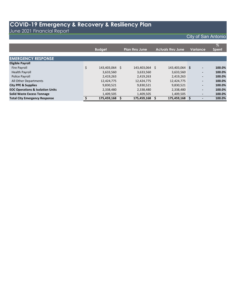June 2021 Financial Report

|                                             |                      |                       |     |                          |                          | $\overline{\mathscr{Z}}$ |
|---------------------------------------------|----------------------|-----------------------|-----|--------------------------|--------------------------|--------------------------|
|                                             | <b>Budget</b>        | <b>Plan thru June</b> |     | <b>Actuals thru June</b> | Variance,                | <b>Spent</b>             |
|                                             |                      |                       |     |                          |                          |                          |
| <b>EMERGENCY RESPONSE</b>                   |                      |                       |     |                          |                          |                          |
| <b>Eligible Payroll</b>                     |                      |                       |     |                          |                          |                          |
| Fire Payroll                                | \$<br>143,403,064 \$ | 143,403,064           | \$. | 143,403,064 \$           | $\overline{\phantom{a}}$ | 100.0%                   |
| <b>Health Payroll</b>                       | 3,633,560            | 3,633,560             |     | 3,633,560                | -                        | 100.0%                   |
| Police Payroll                              | 2,419,263            | 2,419,263             |     | 2,419,263                | $\overline{\phantom{a}}$ | 100.0%                   |
| All Other Departments                       | 12,424,775           | 12,424,775            |     | 12,424,775               | $\overline{\phantom{a}}$ | 100.0%                   |
| <b>City PPE &amp; Supplies</b>              | 9,830,521            | 9,830,521             |     | 9,830,521                | ۰                        | 100.0%                   |
| <b>EOC Operations &amp; Isolation Units</b> | 2,338,480            | 2,338,480             |     | 2,338,480                | $\overline{\phantom{a}}$ | 100.0%                   |
| <b>Solid Waste Excess Tonnage</b>           | 1,409,505            | 1,409,505             |     | 1,409,505                | $\overline{\phantom{a}}$ | 100.0%                   |
| <b>Total City Emergency Response</b>        | 175,459,168          | 175,459,168           |     | 175,459,168              |                          | 100.0%                   |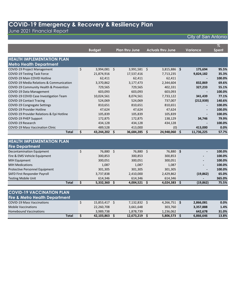June 2021 Financial Report

|                                                     |    | <b>Budget</b> |    | <b>Plan thru June</b> | <b>Actuals thru June</b> |               | <b>Variance</b> | $\%$<br><b>Spent</b> |
|-----------------------------------------------------|----|---------------|----|-----------------------|--------------------------|---------------|-----------------|----------------------|
|                                                     |    |               |    |                       |                          |               |                 |                      |
| <b>HEALTH IMPLEMENTATION PLAN</b>                   |    |               |    |                       |                          |               |                 |                      |
| <b>Metro Health Department</b>                      |    |               |    |                       |                          |               |                 |                      |
| <b>COVID-19 Project Management</b>                  | \$ | 3,994,081     | Ŝ. | 3,991,581             | Ŝ.                       | 3,815,886 \$  | 175,694         | 95.5%                |
| <b>COVID-19 Testing Task Force</b>                  |    | 21,874,916    |    | 17,537,416            |                          | 7,713,235     | 9,824,182       | 35.3%                |
| <b>COVID-19 Main COVID Hotline</b>                  |    | 62,411        |    | 62,411                |                          | 62,411        |                 | 100.0%               |
| <b>COVID-19 Media Relations &amp; Communication</b> |    | 3,370,862     |    | 3,177,473             |                          | 2,344,604     | 832,869         | 69.6%                |
| COVID-19 Community Health & Prevention              |    | 729,565       |    | 729,565               |                          | 402,331       | 327,233         | 55.1%                |
| COVID-19 Data Management                            |    | 603,093       |    | 603,093               |                          | 603,093       |                 | 100.0%               |
| COVID-19 COVID Case Investigation Team              |    | 10,024,561    |    | 8,074,561             |                          | 7,733,122     | 341,439         | 77.1%                |
| <b>COVID-19 Contact Tracing</b>                     |    | 524,069       |    | 524,069               |                          | 737,007       | (212, 939)      | 140.6%               |
| COVID-19 Congregate Settings                        |    | 810,651       |    | 810,651               |                          | 810,651       |                 | 100.0%               |
| <b>COVID-19 Provider Hotline</b>                    |    | 47,624        |    | 47,624                |                          | 47,624        |                 | 100.0%               |
| COVID-19 Provider Relations & Epi Hotline           |    | 105,839       |    | 105,839               |                          | 105,839       |                 | 100.0%               |
| COVID-19 PHEP Support                               |    | 172,875       |    | 172,875               |                          | 138,129       | 34,746          | 79.9%                |
| COVID-19 Research                                   |    | 434,128       |    | 434,128               |                          | 434,128       |                 | 100.0%               |
| <b>COVID-19 Mass Vaccination Clinic</b>             |    | 489,528       |    | 413,000               |                          | (0)           | 413,000         | 0.0%                 |
| <b>Total</b>                                        | S. | 43,244,202    | \$ | 36,684,285            | \$                       | 24,948,060 \$ | 11,736,225      | 57.7%                |

| <b>HEALTH IMPLEMENTATION PLAN</b>     |           |           |              |           |                          |        |
|---------------------------------------|-----------|-----------|--------------|-----------|--------------------------|--------|
| <b>Fire Department</b>                |           |           |              |           |                          |        |
| <b>Decontamination Equipment</b>      | 76,880 \$ | 76,880    | <sub>S</sub> | 76,880 \$ | $\overline{\phantom{a}}$ | 100.0% |
| Fire & EMS Vehicle Equipment          | 300,853   | 300,853   |              | 300,853   | ۰.                       | 100.0% |
| <b>MIH Equipment</b>                  | 300,051   | 300,051   |              | 300,051   | ۰.                       | 100.0% |
| <b>MIH Medications</b>                | 1,087     | 1,087     |              | 1,087     | ۰.                       | 100.0% |
| <b>Protective Personnel Equipment</b> | 301,305   | 301,305   |              | 301,305   | $\overline{\phantom{a}}$ | 100.0% |
| SAFD First Responder Payroll          | 3,737,838 | 2,410,000 |              | 2,429,862 | (19, 862)                | 65.0%  |
| <b>Testing Mobile Unit</b>            | 614.346   | 614,346   |              | 614,346   | ۰.                       | 365.0% |
| <b>Total</b>                          | 5,332,360 | 4.004.521 |              | 4,024,383 | (19, 862)                | 75.5%  |

| <b>COVID-19 VACCINATION PLAN</b><br><b>Fire &amp; Metro Health Department</b> |            |            |              |           |       |
|-------------------------------------------------------------------------------|------------|------------|--------------|-----------|-------|
| <b>COVID-19 Mass Vaccinations</b>                                             | 15,853,417 | 7,132,832  | 4,266,751 \$ | 2,866,081 | 0.0%  |
| <b>Mobile Vaccinations</b>                                                    | 22,260,708 | 3,661,648  | 303,760      | 3,357,888 | 1.4%  |
| <b>Homebound Vaccinations</b>                                                 | 3.989.738  | 1.878.739  | 1,236,062    | 642.678   | 31.0% |
| <b>Total</b>                                                                  | 42,103,863 | 12,673,219 | 5,806,573 \$ | 6,866,646 | 13.8% |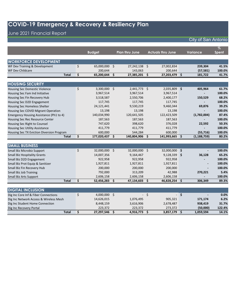### June 2021 Financial Report

| <b>City of San Antonio</b> |  |  |
|----------------------------|--|--|
|                            |  |  |

|                                           |                      |      |                       |         |                          |        |                 | $\%$         |  |
|-------------------------------------------|----------------------|------|-----------------------|---------|--------------------------|--------|-----------------|--------------|--|
|                                           | <b>Budget</b>        |      | <b>Plan thru June</b> |         | <b>Actuals thru June</b> |        | <b>Variance</b> | <b>Spent</b> |  |
|                                           |                      |      |                       |         |                          |        |                 |              |  |
| <b>WORKFORCE DEVELOPMENT</b>              |                      |      |                       |         |                          |        |                 |              |  |
| WF Dev Training & Development             | \$<br>65,000,000     | - \$ | 27,242,138            | - \$    | 27,002,834               |        | 239,304         | 41.5%        |  |
| <b>WF Dev Childcare</b>                   | 200,644              |      | 143,063               |         | 200,644                  |        | (57, 581)       | 100.0%       |  |
| <b>Total</b>                              | \$<br>65,200,644     | \$   | 27,385,201            | \$.     | 27,203,479               | \$     | 181,722         | 41.7%        |  |
|                                           |                      |      |                       |         |                          |        |                 |              |  |
| <b>HOUSING SECURITY</b>                   |                      |      |                       |         |                          |        |                 |              |  |
| <b>Housing Sec Domestic Violence</b>      | \$<br>3,300,000 \$   |      | 2,441,773 \$          |         | 2,035,809 \$             |        | 405,964         | 61.7%        |  |
| Housing Sec Fam Ind Initiative            | 3,967,514            |      | 3,967,514             |         | 3,967,514                |        |                 | 100.0%       |  |
| Housing Sec Fin Recovery Hub              | 3,518,587            |      | 2,550,706             |         | 2,400,177                |        | 150,529         | 68.2%        |  |
| Housing Sec D2D Engagement                | 117,745              |      | 117,745               |         | 117,745                  |        |                 | 100.0%       |  |
| Housing Sec Homeless Shelter              | 24,121,441           |      | 9,530,219             |         | 9,460,344                |        | 69,876          | 39.2%        |  |
| Housing Sec COVID Migrant Operation       | 13,198               |      | 13,198                |         | 13,198                   |        |                 | 100.0%       |  |
| Emergency Housing Assistance (Ph1 to 4)   | 140,034,990          |      | 120,641,505           |         | 122,423,509              |        | (1,782,004)     | 87.4%        |  |
| Housing Sec Rec Resource Center           | 187,563              |      | 187,563               |         | 187,563                  |        |                 | 100.0%       |  |
| Housing Sec Right to Counsel              | 747,620              |      | 398,620               |         | 376,028                  |        | 22,592          | 50.3%        |  |
| <b>Housing Sec Utility Assistance</b>     | 411,779              |      | 411,779               |         | 411,779                  |        |                 | 100.0%       |  |
| Housing Sec TX Eviction Diversion Program | 600,000              |      | 544,284               |         | 600,000                  |        | (55, 716)       | 100.0%       |  |
| <b>Total</b>                              | \$<br>177,020,437    | \$.  | 140,804,906           | \$.     | 141,993,665              | \$     | (1, 188, 759)   | 80.2%        |  |
| <b>SMALL BUSINESS</b>                     |                      |      |                       |         |                          |        |                 |              |  |
| Small Biz Microbiz Support                | \$<br>32,000,000 \$  |      | 32,000,000 \$         |         | 32,000,000 \$            |        |                 | 100.0%       |  |
| <b>Small Biz Hospitality Grants</b>       | 14,007,356           |      | 9,164,467             |         | 9,128,339                | \$     | 36,128          | 65.2%        |  |
| Small Biz D2D Engagement                  | 922,958              |      | 922,958               |         | 922,958                  |        |                 | 100.0%       |  |
| Small Biz Prot Equip & Sanitizer          | 1,927,811            |      | 1,927,811             |         | 1,927,811                |        |                 | 100.0%       |  |
| Small Biz Fin Recovery Hub                | 200,000              |      | 200,000               |         | 200,000                  |        |                 | 100.0%       |  |
| <b>Small Biz Job Training</b>             | 792,000              |      | 313,209               |         | 42,988                   |        | 270,221         | 5.4%         |  |
| Small Biz Arts Support                    | 2,606,158            |      | 2,606,158             |         | 2,606,158                |        |                 | 100.0%       |  |
| <b>Total</b>                              | \$<br>52,456,283     | \$.  | 47,134,603            | \$.     | 46,828,254               | S      | 306,349         | 89.3%        |  |
|                                           |                      |      |                       |         |                          |        |                 |              |  |
| <b>DIGITAL INCLUSION</b>                  |                      |      |                       |         |                          |        |                 |              |  |
| Dig Inc Core Inf & Fiber Connections      | \$<br>$4,000,000$ \$ |      |                       | $\zeta$ |                          | $-$ \$ |                 | 0.0%         |  |
| Dig Inc Network Access & Wireless Mesh    | 14,626,015           |      | 1,076,495             |         | 905,321                  |        | 171,174         | 6.2%         |  |
| Dig Inc Student Home Connection           | 8,448,159            |      | 3,616,906             |         | 2,678,487                |        | 938,419         | 31.7%        |  |
| Dig Inc Recovery Portal                   | 223,372              |      | 223,372               |         | 273,372                  |        | (50,000)        | 122.4%       |  |
| <b>Total</b>                              | \$<br>27,297,546     | \$   | 4,916,773             | \$      | 3,857,179                | \$     | 1,059,594       | 14.1%        |  |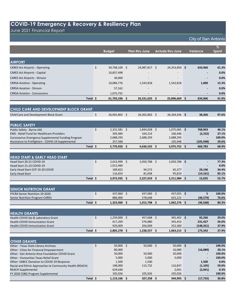#### June 2021 Financial Report

|                                                                                             | <b>Budget</b>           | <b>Plan thru June</b>    | <b>Actuals thru June</b> |     | Variance                 | $\%$<br><b>Spent</b> |
|---------------------------------------------------------------------------------------------|-------------------------|--------------------------|--------------------------|-----|--------------------------|----------------------|
|                                                                                             |                         |                          |                          |     |                          |                      |
| <b>AIRPORT</b>                                                                              |                         |                          |                          |     |                          |                      |
| <b>CARES Act Airports - Operating</b>                                                       | \$<br>39,708,109 \$     | 24,987,817 \$            | 24,353,850 \$            |     | 633,966                  | 61.3%                |
| <b>CARES Act Airports - Capital</b>                                                         | 10,837,498              |                          |                          |     |                          | 0.0%                 |
| <b>CARES Act Airports - Stinson</b>                                                         | 30,000                  |                          |                          |     |                          | 0.0%                 |
| <b>CRRSA Aviation - Operating</b>                                                           | 10,084,776              | 1,543,818                | 1,542,818                |     | 1,000                    | 15.3%                |
| <b>CRRSA Aviation - Stinson</b>                                                             | 57,162                  |                          |                          |     |                          | 0.0%                 |
| <b>CRRSA Aviation - Concessions</b>                                                         | 1,075,791               | $\overline{\phantom{a}}$ | $\overline{\phantom{a}}$ |     | $\overline{\phantom{a}}$ | 0.0%                 |
| Total \$                                                                                    | 61,793,336 \$           | 26,531,635 \$            | 25,896,669               | ∣\$ | 634,966                  | 41.9%                |
|                                                                                             |                         |                          |                          |     |                          |                      |
| CHILD CARE AND DEVELOPMENT BLOCK GRANT                                                      |                         |                          |                          |     |                          |                      |
| Child Care and Development Block Grant                                                      | \$<br>26,902,802 \$     | 26,302,802 \$            | 26,264,436 \$            |     | 38,366                   | 97.6%                |
|                                                                                             |                         |                          |                          |     |                          |                      |
| <b>PUBLIC SAFETY</b>                                                                        |                         |                          |                          |     |                          |                      |
| Public Safety - Byrne JAG                                                                   | \$<br>$2,331,581$ \$    | 1,844,028 \$             | 1,075,065 \$             |     | 768,963                  | 46.1%                |
| <b>EMS</b> - Relief Fund for Healthcare Providers                                           | 393,484                 | 104,214                  | 106,446                  |     | (2, 232)                 | 27.1%                |
| Coronavirus Emergency Supplemental Funding Program                                          | 2,688,293               | 2,688,293                | 2,688,293<br>105,948     |     |                          | 100.0%<br>29.6%      |
| Assistance to Firefighters - COVID-19 Supplemental<br>Total \$                              | 357,568<br>5,770,926 \$ | 4,636,535 \$             | 3,975,752 \$             |     | (105,948)<br>660,783     | 68.9%                |
|                                                                                             |                         |                          |                          |     |                          |                      |
| <b>HEAD START &amp; EARLY HEAD START</b>                                                    |                         |                          |                          |     |                          |                      |
| Head Start 20-21 COVID-19                                                                   | \$<br>$2,653,999$ \$    | 2,050,788 \$             | 2,050,788 \$             |     |                          | 77.3%                |
| Head Start 21-23 COVID-19                                                                   | 1,012,460               |                          |                          |     |                          | 0.0%                 |
| Early Head Start-CCP 19-20 COVID                                                            | 189,822                 | 94,573                   | 65,377                   |     | 29,196                   | 34.4%                |
| Early Head Start                                                                            | 116,654                 | 81,658                   | 95,819                   |     | (14, 161)                | 82.1%                |
| Total \$                                                                                    | $3,972,935$ \$          | 2,227,019 \$             | $2,211,984$ \$           |     | 15,035                   | 55.7%                |
|                                                                                             |                         |                          |                          |     |                          |                      |
| <b>SENIOR NUTRITION GRANT</b>                                                               |                         |                          |                          |     |                          |                      |
| FFCRA Senior Nutrition 19-2020                                                              | \$<br>437,060 \$        | 437,060 \$               | 437,055 \$               |     | 5                        | 100.0%               |
| <b>Senior Nutrition Program-CARES</b>                                                       | 886,000                 | 578,648                  | 625,222                  |     | (46,574)                 | 70.6%                |
| Total \$                                                                                    | $1,323,060$ \$          | $1,015,708$ \$           | $1,062,276$ \$           |     | (46, 568)                | 80.3%                |
|                                                                                             |                         |                          |                          |     |                          |                      |
| <b>HEALTH GRANTS</b><br>Health COVID Epi & Laboratory Grant                                 | \$<br>$1,259,000$ \$    | 457,668 \$               | 365,402 \$               |     | 92,266                   | 29.0%                |
| <b>Health COVID Immunization Grant</b>                                                      | 617,269                 | 576,880                  | 345,453                  |     | 231,427                  | 56.0%                |
| <b>Health COVID Immunization Grant</b>                                                      | 929,009                 | 204,009                  | 352,360                  |     | (148, 351)               | 37.9%                |
| Total \$                                                                                    | 2,805,278 \$            | 1,238,557 \$             | $1,063,215$ \$           |     | 175,342                  | 37.9%                |
|                                                                                             |                         |                          |                          |     |                          |                      |
| <b>OTHER GRANTS</b>                                                                         |                         |                          |                          |     |                          |                      |
| Other - Texas State Library Archives                                                        | \$<br>$50,000$ \$       | $50,000$ \$              | $50,000$ \$              |     |                          | 100.0%               |
| Other - Cities for Financial Empowerment<br>Other - San Antonio Area Foundation COVID Grant | 80,000<br>50,000        |                          | 16,089<br>50,000         |     | (16,089)                 | 20.1%<br>100.0%      |
| Other - Humanities Texas Relief Grant                                                       | 5,000                   | 50,000<br>5,000          | 5,000                    |     |                          | 100.0%               |
| Other-SABCC Donation to COVID-19 Response                                                   | 1,500                   | 1,500                    |                          |     | 1,500                    | 0.0%                 |
| Racial and Ethnic Approaches to Community Health (REACH)                                    | 198,000                 | 115,732                  | 116,837                  |     | (1, 105)                 | 59.0%                |
| <b>REACH Supplemental</b>                                                                   | 629,640                 |                          | 2,041                    |     | (2,041)                  | 0.3%                 |
| FY 2020 CSBG Program Supplemental                                                           | 105,026                 | 105,026                  | 105,026                  |     |                          | 100.0%               |
| Total \$                                                                                    | $1,119,166$ \$          | $327,258$ \$             | 344,993 \$               |     | (17, 735)                | 30.8%                |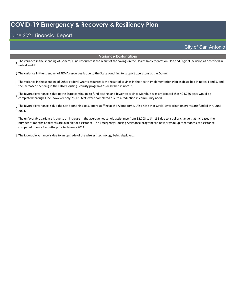#### June 2021 Financial Report

City of San Antonio

#### **Variance Explanations**

The variance in the spending of General Fund resources is the result of the savings in the Health Implementation Plan and Digitial Inclusion as described in<br>1 note 1 and 8 note 4 and 8.

2 The variance in the spending of FEMA resources is due to the State contining to support operatons at the Dome.

The variance in the spending of Other Federal Grant resources is the result of savings in the Health Implementation Plan as described in notes 4 and 5, and<br>3 the increased coording in the EUAR Unusing Sesurity pregrams as the increased spending in the EHAP Housing Security programs as described in note 7.

The favorable variance is due to the State continuing to fund testing, and fewer tests since March. It was anticipated that 404,286 tests would be  $\frac{4}{3}$  completed through lune hours colu $\frac{75.170 \text{ to the sum of the value of } 2.5 \text{ m}$ completed through June, however only 75,179 tests were completed due to a reduction in community need.

The favorable variance is due the State contining to support staffing at the Alamodome. Also note that Covid-19 vaccination grants are funded thru June<br>5 2024.

6 number of months applicants are availble for assistance. The Emergency Housing Assistance program can now provide up to 9 months of assistance The unfavorable variance is due to an increase in the average household assistance from \$2,703 to \$4,135 due to a policy change that increased the compared to only 3 months prior to January 2021.

7 The favorable variance is due to an upgrade of the wireless technology being deployed.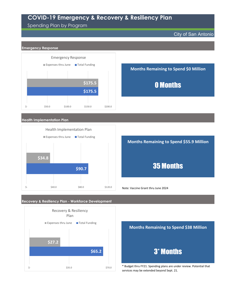#### Spending Plan by Program

City of San Antonio



**Health Implementation Plan**



**Recovery & Resiliency Plan - Workforce Development**



**Months Remaining to Spend \$55.9 Million**

## 35 Months

Note: Vaccine Grant thru June 2024



\* Budget thru FY21. Spending plans are under review. Potential that services may be extended beyond Sept. 21.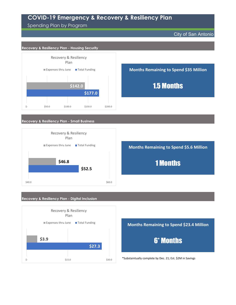Spending Plan by Program

City of San Antonio





**Months Remaining to Spend \$23.4 Million** 6\* Months

\*Substaintually complete by Dec. 21; Est. \$2M in Savings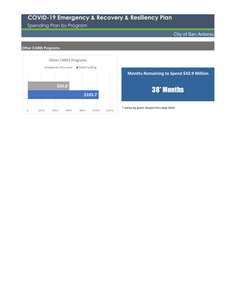#### Spending Plan by Program

#### City of San Antonio

#### **Other CARES Programs**



**Months Remaining to Spend \$42.9 Million** 38\* Months

\* Varies by grant: Airport thru Sept 2024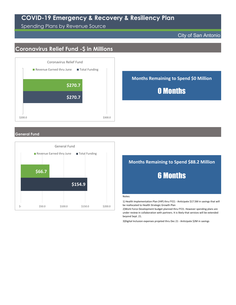Spending Plans by Revenue Source

#### City of San Antonio

## **Coronavirus Relief Fund -\$ in Millions**



**Months Remaining to Spend \$0 Million** 0 Months

#### **General Fund**



## **Months Remaining to Spend \$88.2 Million** 6 Months

#### Notes:

1) Health Implementation Plan (HIP) thru FY21 ‐ Anticipate \$17.5M in savings that will be reallocated to Health Strategic Growth Plan

2)Work Force Development budget planned thru FY21. However spending plans are under review in collaboration with partners. It is likely that services will be extended beyond Sept. 21.

3)Digital Inclusion expenses projeted thru Dec 21 ‐ Anticipate \$2M in savings